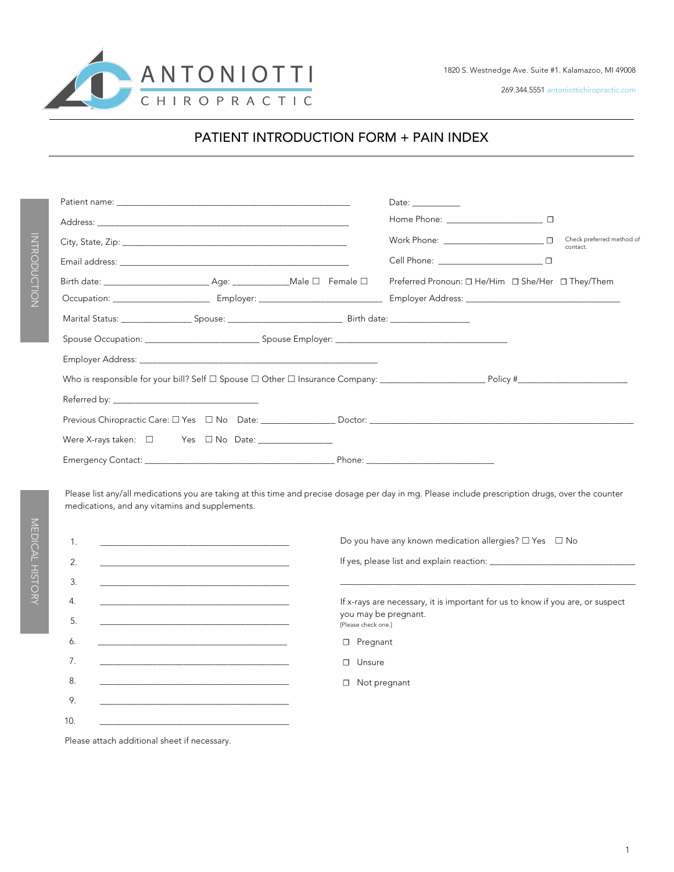

269.344.5551 antoniottichiropractic.com

# PATIENT INTRODUCTION FORM + PAIN INDEX

| Home Phone: _____________________ □                         |
|-------------------------------------------------------------|
| Check preferred method of<br>Work Phone: $\Box$<br>contact. |
| Cell Phone: _______________________ □                       |
| Preferred Pronoun: □ He/Him □ She/Her □ They/Them           |
|                                                             |
|                                                             |
|                                                             |
|                                                             |
|                                                             |
|                                                             |
|                                                             |
|                                                             |
|                                                             |
|                                                             |

Please list any/all medications you are taking at this time and precise dosage per day in mg. Please include prescription drugs, over the counter medications, and any vitamins and supplements.

INTRODUCTION

INTRODUCTION

| 2. | Do you have any known medication allergies? $\Box$ Yes $\Box$ No               |  |  |  |
|----|--------------------------------------------------------------------------------|--|--|--|
| 3. |                                                                                |  |  |  |
| 4. | If x-rays are necessary, it is important for us to know if you are, or suspect |  |  |  |
| 5. | you may be pregnant.<br>[Please check one.]                                    |  |  |  |
| 6. | <b>D</b> Pregnant                                                              |  |  |  |
| 7. | Unsure<br>П.                                                                   |  |  |  |
| 8. | Not pregnant                                                                   |  |  |  |
| 9. |                                                                                |  |  |  |
| 10 |                                                                                |  |  |  |

Please attach additional sheet if necessary.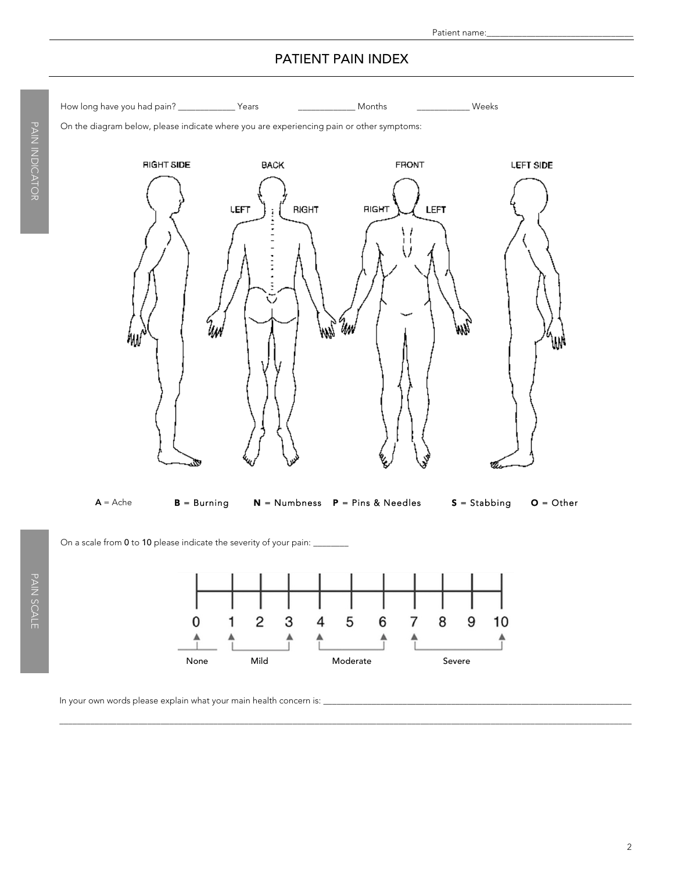## PATIENT PAIN INDEX



\_\_\_\_\_\_\_\_\_\_\_\_\_\_\_\_\_\_\_\_\_\_\_\_\_\_\_\_\_\_\_\_\_\_\_\_\_\_\_\_\_\_\_\_\_\_\_\_\_\_\_\_\_\_\_\_\_\_\_\_\_\_\_\_\_\_\_\_\_\_\_\_\_\_\_\_\_\_\_\_\_\_\_\_\_\_\_\_\_\_\_\_\_\_\_\_\_\_\_\_\_\_\_\_\_\_\_\_\_\_\_\_\_\_\_\_\_\_\_\_\_\_\_\_\_\_\_\_\_\_

In your own words please explain what your main health concern is: \_\_\_\_\_\_\_\_\_\_\_\_\_\_\_\_\_\_\_\_\_\_\_\_\_\_\_\_\_\_\_\_\_\_\_\_\_\_\_\_\_\_\_\_\_\_\_\_\_\_\_\_\_\_\_\_\_\_\_\_\_\_\_\_\_\_\_\_\_\_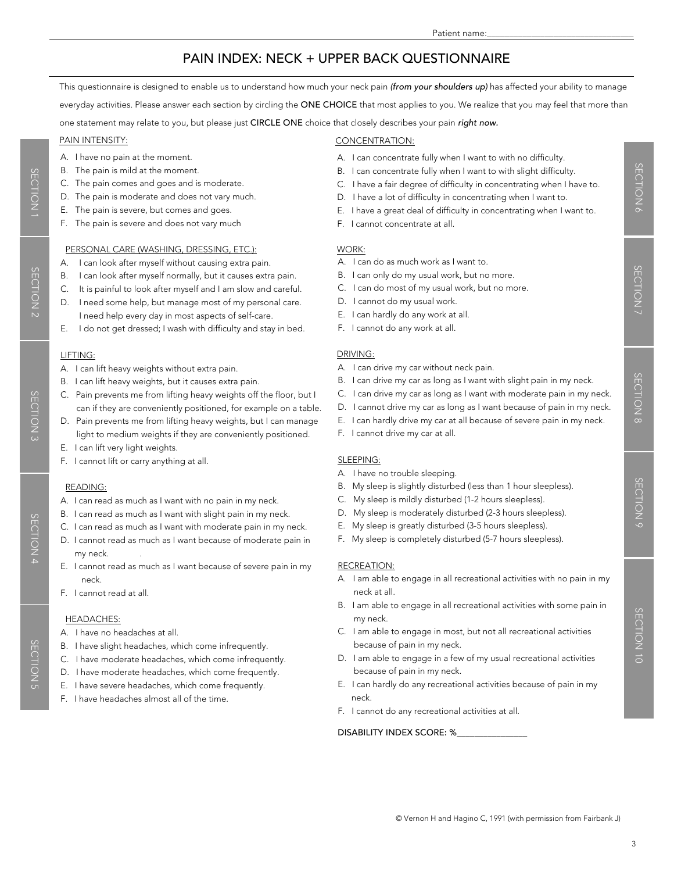# PAIN INDEX: NECK + UPPER BACK QUESTIONNAIRE

This questionnaire is designed to enable us to understand how much your neck pain *(from your shoulders up)* has affected your ability to manage everyday activities. Please answer each section by circling the ONE CHOICE that most applies to you. We realize that you may feel that more than

one statement may relate to you, but please just CIRCLE ONE choice that closely describes your pain *right now.*

- A. I have no pain at the moment.
- B. The pain is mild at the moment.
- C. The pain comes and goes and is moderate.
- D. The pain is moderate and does not vary much.
- E. The pain is severe, but comes and goes.
- F. The pain is severe and does not vary much

### PERSONAL CARE (WASHING, DRESSING, ETC.):

- A. I can look after myself without causing extra pain.
- B. I can look after myself normally, but it causes extra pain.
- C. It is painful to look after myself and I am slow and careful.
- D. I need some help, but manage most of my personal care. I need help every day in most aspects of self-care.
- E. I do not get dressed; I wash with difficulty and stay in bed.

### LIFTING:

- A. I can lift heavy weights without extra pain.
- B. I can lift heavy weights, but it causes extra pain.
- C. Pain prevents me from lifting heavy weights off the floor, but I can if they are conveniently positioned, for example on a table.
- D. Pain prevents me from lifting heavy weights, but I can manage light to medium weights if they are conveniently positioned.
- E. I can lift very light weights.
- F. I cannot lift or carry anything at all.

### READING:

- A. I can read as much as I want with no pain in my neck.
- B. I can read as much as I want with slight pain in my neck.
- C. I can read as much as I want with moderate pain in my neck.
- D. I cannot read as much as I want because of moderate pain in my neck. .
- E. I cannot read as much as I want because of severe pain in my neck.
- F. I cannot read at all.

### HEADACHES:

- A. I have no headaches at all.
- B. I have slight headaches, which come infrequently.
- C. I have moderate headaches, which come infrequently.
- D. I have moderate headaches, which come frequently.
- E. I have severe headaches, which come frequently.
- F. I have headaches almost all of the time.

### PAIN INTENSITY: CONCENTRATION:

- A. I can concentrate fully when I want to with no difficulty.
- B. I can concentrate fully when I want to with slight difficulty.
- C. I have a fair degree of difficulty in concentrating when I have to.
- D. I have a lot of difficulty in concentrating when I want to.
- E. I have a great deal of difficulty in concentrating when I want to.
- F. I cannot concentrate at all.

### WORK:

- A. I can do as much work as I want to.
- B. I can only do my usual work, but no more.
- C. I can do most of my usual work, but no more.
- D. I cannot do my usual work.
- E. I can hardly do any work at all.
- F. I cannot do any work at all.

### DRIVING:

- A. I can drive my car without neck pain.
- B. I can drive my car as long as I want with slight pain in my neck.
- C. I can drive my car as long as I want with moderate pain in my neck.
- D. I cannot drive my car as long as I want because of pain in my neck.
- E. I can hardly drive my car at all because of severe pain in my neck.
- F. I cannot drive my car at all.

## SLEEPING:

- A. I have no trouble sleeping.
- B. My sleep is slightly disturbed (less than 1 hour sleepless).
- C. My sleep is mildly disturbed (1-2 hours sleepless).
- D. My sleep is moderately disturbed (2-3 hours sleepless).
- E. My sleep is greatly disturbed (3-5 hours sleepless).
- F. My sleep is completely disturbed (5-7 hours sleepless).

### RECREATION:

- A. I am able to engage in all recreational activities with no pain in my neck at all.
- B. I am able to engage in all recreational activities with some pain in my neck.
- C. I am able to engage in most, but not all recreational activities because of pain in my neck.
- D. I am able to engage in a few of my usual recreational activities because of pain in my neck.
- E. I can hardly do any recreational activities because of pain in my neck.
- F. I cannot do any recreational activities at all.

DISABILITY INDEX SCORE: %

SECTION

SECTION 8

8 SECTION 7 SECTION 6

SECTION 7

SECTION 6

SECTION 4

SECTION 5

SECTION 4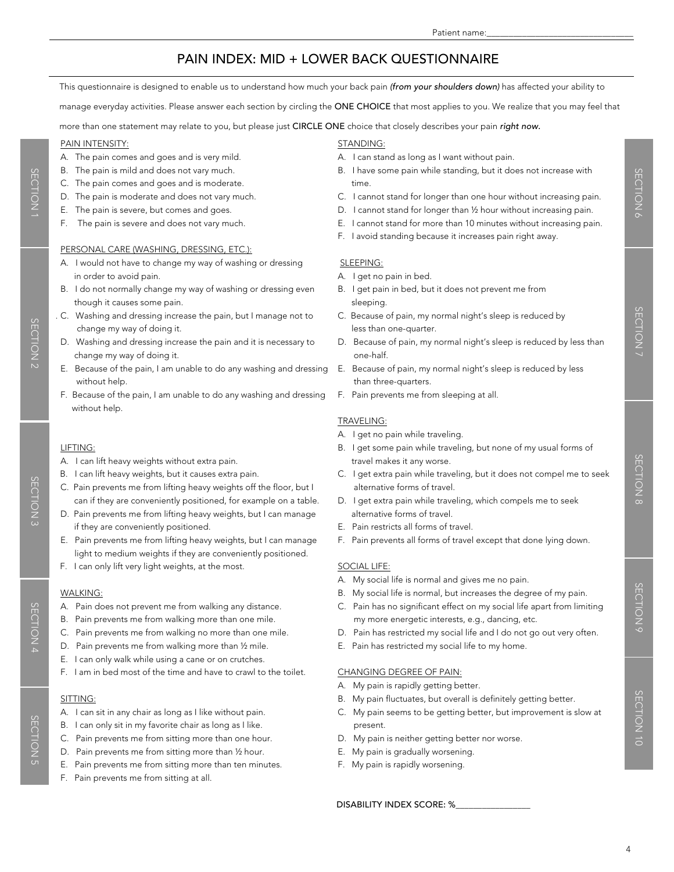# PAIN INDEX: MID + LOWER BACK QUESTIONNAIRE

This questionnaire is designed to enable us to understand how much your back pain *(from your shoulders down)* has affected your ability to

manage everyday activities. Please answer each section by circling the ONE CHOICE that most applies to you. We realize that you may feel that

more than one statement may relate to you, but please just CIRCLE ONE choice that closely describes your pain *right now.*

### PAIN INTENSITY: STANDING:

- 
- 
- C. The pain comes and goes and is moderate. The pain comes and goes and is moderate.
- 
- 
- 

### PERSONAL CARE (WASHING, DRESSING, ETC.):

- A. I would not have to change my way of washing or dressing SLEEPING: in order to avoid pain. The same of the same of the same of the same of the same of the same of the same of the same of the same of the same of the same of the same of the same of the same of the same of the same of the sa
- B. I do not normally change my way of washing or dressing even B. I get pain in bed, but it does not prevent me from though it causes some pain. Superior of the sleeping.
- . C. Washing and dressing increase the pain, but I manage not to C. Because of pain, my normal night's sleep is reduced by change my way of doing it. less than one-quarter.
- change my way of doing it. The contract of the contract one-half.
- E. Because of the pain, I am unable to do any washing and dressing E. Because of pain, my normal night's sleep is reduced by less without help. The contract of the contract of the three-quarters. The three-quarters.
- F. Because of the pain, I am unable to do any washing and dressing F. Pain prevents me from sleeping at all. without help.

- A. I can lift heavy weights without extra pain. The same of the state of travel makes it any worse.
- 
- C. Pain prevents me from lifting heavy weights off the floor, but l alternative forms of travel.
- D. Pain prevents me from lifting heavy weights, but I can manage alternative forms of travel. if they are conveniently positioned. E. Pain restricts all forms of travel.
- E. Pain prevents me from lifting heavy weights, but I can manage F. Pain prevents all forms of travel except that done lying down. light to medium weights if they are conveniently positioned.
- F. I can only lift very light weights, at the most. SOCIAL LIFE:

- 
- B. Pain prevents me from walking more than one mile. my more energetic interests, e.g., dancing, etc.
- 
- D. Pain prevents me from walking more than 1/2 mile. **E. Pain has restricted my social life to my home.**
- E. I can only walk while using a cane or on crutches.
- F. I am in bed most of the time and have to crawl to the toilet. CHANGING DEGREE OF PAIN:

- 
- B. I can only sit in my favorite chair as long as I like. present.
- C. Pain prevents me from sitting more than one hour. D. My pain is neither getting better nor worse.
- D. Pain prevents me from sitting more than 1/2 hour. The State My pain is gradually worsening.
- E. Pain prevents me from sitting more than ten minutes. F. My pain is rapidly worsening.
- F. Pain prevents me from sitting at all.

- A. The pain comes and goes and is very mild. A. I can stand as long as I want without pain.
- B. The pain is mild and does not vary much. B. I have some pain while standing, but it does not increase with
- D. The pain is moderate and does not vary much. C. I cannot stand for longer than one hour without increasing pain.
- E. The pain is severe, but comes and goes.  $D. I cannot stand for longer than ½ hour without increasing pain.$
- F. The pain is severe and does not vary much. E. I cannot stand for more than 10 minutes without increasing pain.
	- F. I avoid standing because it increases pain right away.

- 
- 
- 
- D. Washing and dressing increase the pain and it is necessary to D. Because of pain, my normal night's sleep is reduced by less than
	-
	-

### TRAVELING:

- A. I get no pain while traveling.
- LIFTING: UNITING: UNITING: B. I get some pain while traveling, but none of my usual forms of
- B. I can lift heavy weights, but it causes extra pain. C. I get extra pain while traveling, but it does not compel me to seek
	- can if they are conveniently positioned, for example on a table. D. I get extra pain while traveling, which compels me to seek
		-
		-

- A. My social life is normal and gives me no pain.
- WALKING: WALKING: **B.** My social life is normal, but increases the degree of my pain. A. Pain does not prevent me from walking any distance. C. Pain has no significant effect on my social life apart from limiting
- C. Pain prevents me from walking no more than one mile. D. Pain has restricted my social life and I do not go out very often.
	-

- A. My pain is rapidly getting better.
- 
- SITTING:<br>
B. My pain fluctuates, but overall is definitely getting better.<br>
B. I can sit in any chair as long as I like without pain.<br>
B. I can only sit in my favorite chair as long as I like.<br>
C. Pain prevents me from sit A. I can sit in any chair as long as I like without pain. C. My pain seems to be getting better, but improvement is slow at
	-
	-
	-

### DISABILITY INDEX SCORE: %

SECTION 4

SECTION 4

SECTION 3

SECTION<sub>3</sub>

SECTION 1

SECTION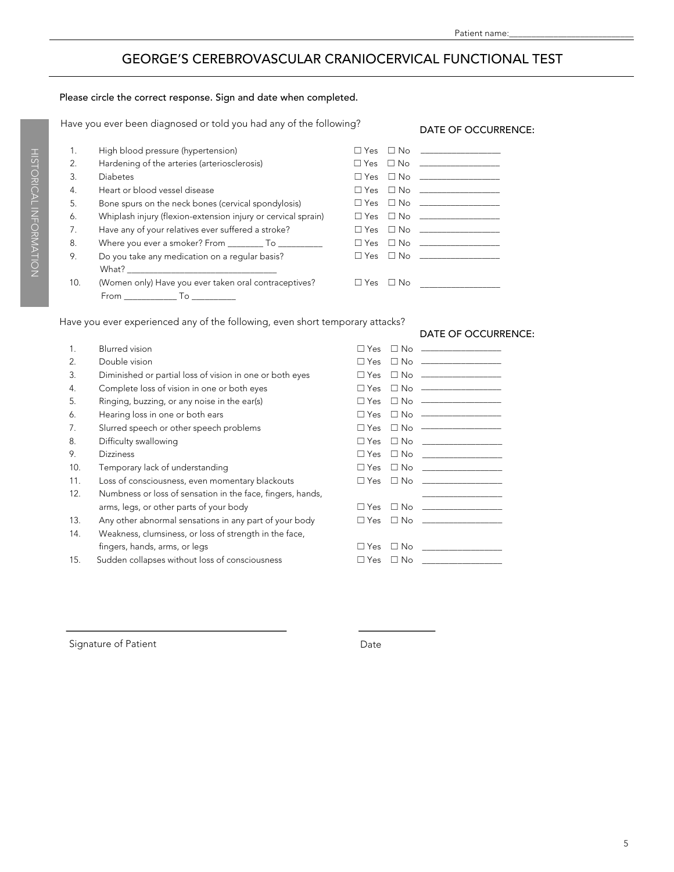DATE OF OCCURRENCE:

DATE OF OCCURRENCE:

# GEORGE'S CEREBROVASCULAR CRANIOCERVICAL FUNCTIONAL TEST

## Please circle the correct response. Sign and date when completed.

Have you ever been diagnosed or told you had any of the following?

|                        | 1.  | High blood pressure (hypertension)                            | $\Box$ Yes                                                            |
|------------------------|-----|---------------------------------------------------------------|-----------------------------------------------------------------------|
|                        | 2.  | Hardening of the arteries (arteriosclerosis)                  | $\Box$ Yes                                                            |
|                        | 3.  | <b>Diabetes</b>                                               | $\Box$ Yes $\Box$ No $\Box$                                           |
| HISTORICAL INFORMATION | 4.  | Heart or blood vessel disease                                 | $\Box$ Yes $\Box$ No _________________                                |
|                        | 5.  | Bone spurs on the neck bones (cervical spondylosis)           | $\Box$ Yes $\Box$ No _________________                                |
|                        | 6.  | Whiplash injury (flexion-extension injury or cervical sprain) | $\Box$ Yes $\Box$ No _________________                                |
|                        | 7.  | Have any of your relatives ever suffered a stroke?            | $\Box$ Yes $\Box$ No _________________                                |
|                        | 8.  | Where you ever a smoker? From __________ To __________        | $\Box$ Yes $\Box$ No $\Box$                                           |
|                        | 9.  | Do you take any medication on a regular basis?                | $\Box$ Yes $\Box$ No $\_\_\_\_\_\_\_\_\_\_\_\_\_\_\_\_\_\_\_\_\_\_\_$ |
|                        |     | What?                                                         |                                                                       |
|                        | 10. | (Women only) Have you ever taken oral contraceptives?         | $\Box$ No<br>$\Box$ Yes                                               |
|                        |     | From<br>To:                                                   |                                                                       |

Have you ever experienced any of the following, even short temporary attacks?

| 1.  | <b>Blurred</b> vision                                      | □ Yes      |           |                                       |
|-----|------------------------------------------------------------|------------|-----------|---------------------------------------|
| 2.  | Double vision                                              | $\Box$ Yes |           | $\Box$ No $\qquad$                    |
| 3.  | Diminished or partial loss of vision in one or both eyes   | $\Box$ Yes |           | $\square$ No $\square$                |
| 4.  | Complete loss of vision in one or both eyes                | $\Box$ Yes |           | $\square$ No $\square$                |
| 5.  | Ringing, buzzing, or any noise in the ear(s)               | $\Box$ Yes |           | □ No  —————————                       |
| 6.  | Hearing loss in one or both ears                           | $\Box$ Yes |           | $\Box$ No $\qquad \qquad \qquad \Box$ |
| 7.  | Slurred speech or other speech problems                    | $\Box$ Yes |           |                                       |
| 8.  | Difficulty swallowing                                      | $\Box$ Yes |           | □ No ________________                 |
| 9.  | <b>Dizziness</b>                                           | $\Box$ Yes |           |                                       |
| 10. | Temporary lack of understanding                            | $\Box$ Yes |           | $\square$ No $\square$                |
| 11. | Loss of consciousness, even momentary blackouts            | $\Box$ Yes |           | $\square$ No $\square$                |
| 12. | Numbness or loss of sensation in the face, fingers, hands, |            |           |                                       |
|     | arms, legs, or other parts of your body                    | $\Box$ Yes |           |                                       |
| 13. | Any other abnormal sensations in any part of your body     | $\Box$ Yes |           |                                       |
| 14. | Weakness, clumsiness, or loss of strength in the face,     |            |           |                                       |
|     | fingers, hands, arms, or legs                              | $\Box$ Yes |           | $\Box$ No $\Box$                      |
| 15. | Sudden collapses without loss of consciousness             | $\Box$ Yes | $\Box$ No |                                       |

Signature of Patient **Date**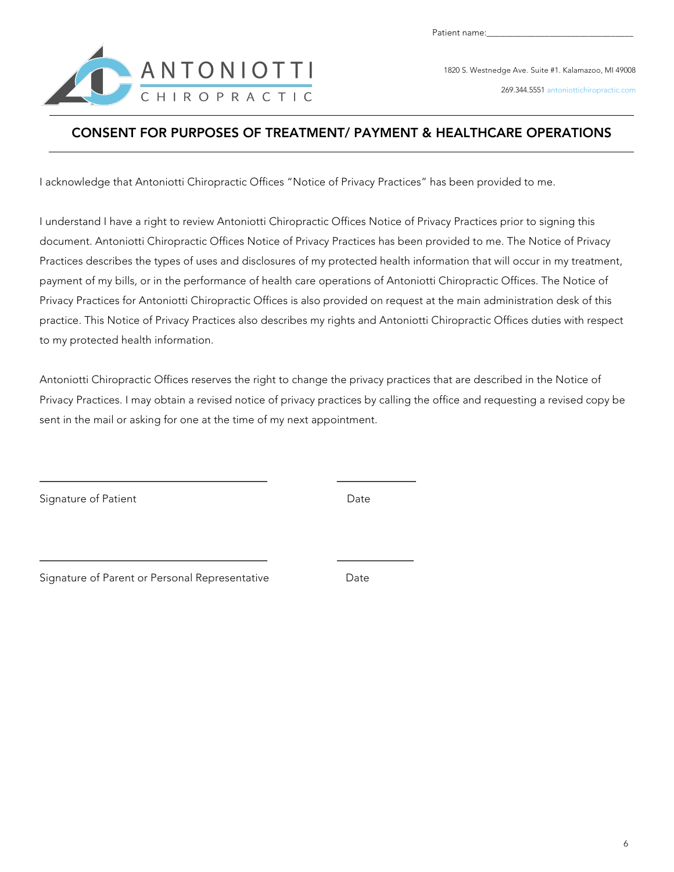

1820 S. Westnedge Ave. Suite #1. Kalamazoo, MI 49008

269.344.5551 antoniottichiropractic.com

# CONSENT FOR PURPOSES OF TREATMENT/ PAYMENT & HEALTHCARE OPERATIONS

I acknowledge that Antoniotti Chiropractic Offices "Notice of Privacy Practices" has been provided to me.

I understand I have a right to review Antoniotti Chiropractic Offices Notice of Privacy Practices prior to signing this document. Antoniotti Chiropractic Offices Notice of Privacy Practices has been provided to me. The Notice of Privacy Practices describes the types of uses and disclosures of my protected health information that will occur in my treatment, payment of my bills, or in the performance of health care operations of Antoniotti Chiropractic Offices. The Notice of Privacy Practices for Antoniotti Chiropractic Offices is also provided on request at the main administration desk of this practice. This Notice of Privacy Practices also describes my rights and Antoniotti Chiropractic Offices duties with respect to my protected health information.

Antoniotti Chiropractic Offices reserves the right to change the privacy practices that are described in the Notice of Privacy Practices. I may obtain a revised notice of privacy practices by calling the office and requesting a revised copy be sent in the mail or asking for one at the time of my next appointment.

Signature of Patient **Date** Date Date

Signature of Parent or Personal Representative

Date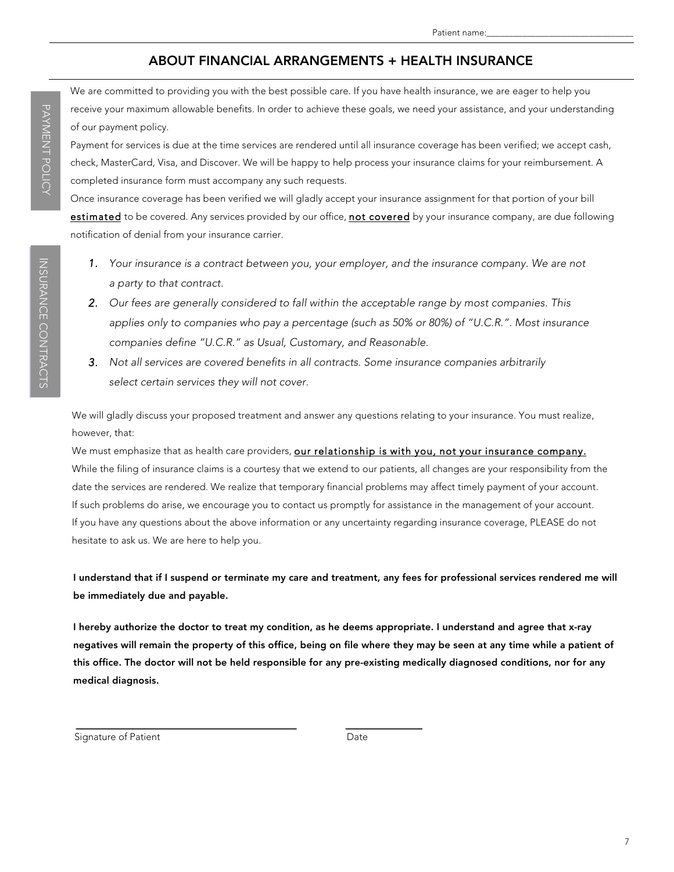## ABOUT FINANCIAL ARRANGEMENTS + HEALTH INSURANCE

We are committed to providing you with the best possible care. If you have health insurance, we are eager to help you receive your maximum allowable benefits. In order to achieve these goals, we need your assistance, and your understanding of our payment policy.

Payment for services is due at the time services are rendered until all insurance coverage has been verified; we accept cash, check, MasterCard, Visa, and Discover. We will be happy to help process your insurance claims for your reimbursement. A completed insurance form must accompany any such requests.

Once insurance coverage has been verified we will gladly accept your insurance assignment for that portion of your bill estimated to be covered. Any services provided by our office, not covered by your insurance company, are due following notification of denial from your insurance carrier.

- 1. *Your insurance is a contract between you, your employer, and the insurance company. We are not a party to that contract.*
- 2. *Our fees are generally considered to fall within the acceptable range by most companies. This applies only to companies who pay a percentage (such as 50% or 80%) of "U.C.R.". Most insurance companies define "U.C.R." as Usual, Customary, and Reasonable.*
- 3. *Not all services are covered benefits in all contracts. Some insurance companies arbitrarily select certain services they will not cover.*

We will gladly discuss your proposed treatment and answer any questions relating to your insurance. You must realize, however, that:

We must emphasize that as health care providers, our relationship is with you, not your insurance company. While the filing of insurance claims is a courtesy that we extend to our patients, all changes are your responsibility from the date the services are rendered. We realize that temporary financial problems may affect timely payment of your account. If such problems do arise, we encourage you to contact us promptly for assistance in the management of your account. If you have any questions about the above information or any uncertainty regarding insurance coverage, PLEASE do not hesitate to ask us. We are here to help you.

## I understand that if I suspend or terminate my care and treatment, any fees for professional services rendered me will be immediately due and payable.

I hereby authorize the doctor to treat my condition, as he deems appropriate. I understand and agree that x-ray negatives will remain the property of this office, being on file where they may be seen at any time while a patient of this office. The doctor will not be held responsible for any pre-existing medically diagnosed conditions, nor for any medical diagnosis.

Signature of Patient **Date** Date Date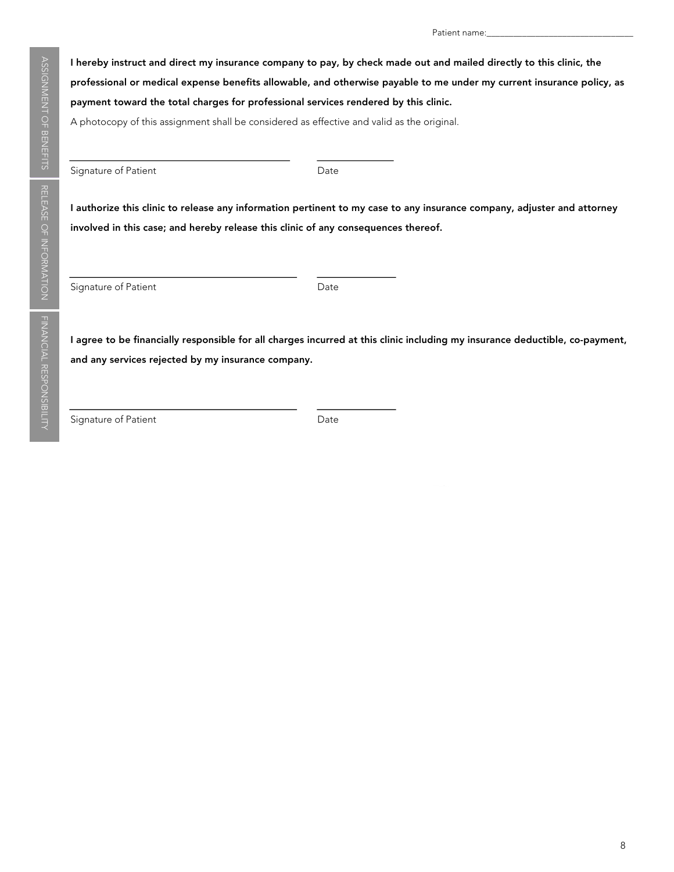I hereby instruct and direct my insurance company to pay, by check made out and mailed directly to this clinic, the professional or medical expense benefits allowable, and otherwise payable to me under my current insurance policy, as payment toward the total charges for professional services rendered by this clinic. A photocopy of this assignment shall be considered as effective and valid as the original.

Signature of Patient **Date** Date

I authorize this clinic to release any information pertinent to my case to any insurance company, adjuster and attorney involved in this case; and hereby release this clinic of any consequences thereof.

Signature of Patient **Date** Date

I agree to be financially responsible for all charges incurred at this clinic including my insurance deductible, co-payment, and any services rejected by my insurance company.

Signature of Patient Date Date

8